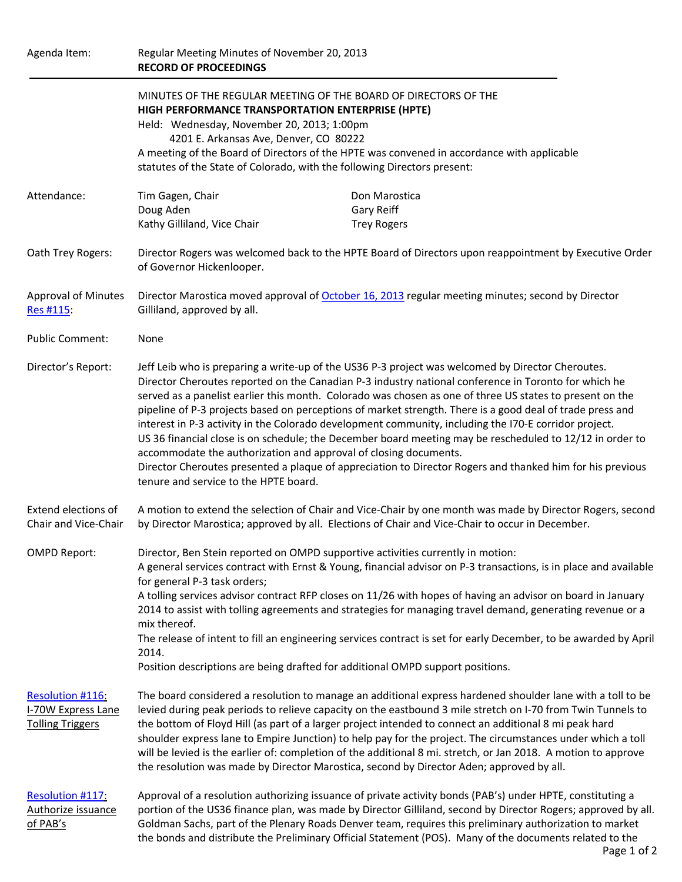| Agenda Item:                                                      | <b>RECORD OF PROCEEDINGS</b>                                                                                                                                                                                                                                                                                                                                                                                                                                                                                                                                                                                                                                                                                                                                                                                                                                                      | Regular Meeting Minutes of November 20, 2013      |  |
|-------------------------------------------------------------------|-----------------------------------------------------------------------------------------------------------------------------------------------------------------------------------------------------------------------------------------------------------------------------------------------------------------------------------------------------------------------------------------------------------------------------------------------------------------------------------------------------------------------------------------------------------------------------------------------------------------------------------------------------------------------------------------------------------------------------------------------------------------------------------------------------------------------------------------------------------------------------------|---------------------------------------------------|--|
|                                                                   | MINUTES OF THE REGULAR MEETING OF THE BOARD OF DIRECTORS OF THE<br>HIGH PERFORMANCE TRANSPORTATION ENTERPRISE (HPTE)<br>Held: Wednesday, November 20, 2013; 1:00pm<br>4201 E. Arkansas Ave, Denver, CO 80222<br>A meeting of the Board of Directors of the HPTE was convened in accordance with applicable<br>statutes of the State of Colorado, with the following Directors present:                                                                                                                                                                                                                                                                                                                                                                                                                                                                                            |                                                   |  |
| Attendance:                                                       | Tim Gagen, Chair<br>Doug Aden<br>Kathy Gilliland, Vice Chair                                                                                                                                                                                                                                                                                                                                                                                                                                                                                                                                                                                                                                                                                                                                                                                                                      | Don Marostica<br>Gary Reiff<br><b>Trey Rogers</b> |  |
| Oath Trey Rogers:                                                 | Director Rogers was welcomed back to the HPTE Board of Directors upon reappointment by Executive Order<br>of Governor Hickenlooper.                                                                                                                                                                                                                                                                                                                                                                                                                                                                                                                                                                                                                                                                                                                                               |                                                   |  |
| <b>Approval of Minutes</b><br>Res #115                            | Director Marostica moved approval of October 16, 2013 regular meeting minutes; second by Director<br>Gilliland, approved by all.                                                                                                                                                                                                                                                                                                                                                                                                                                                                                                                                                                                                                                                                                                                                                  |                                                   |  |
| <b>Public Comment:</b>                                            | None                                                                                                                                                                                                                                                                                                                                                                                                                                                                                                                                                                                                                                                                                                                                                                                                                                                                              |                                                   |  |
| Director's Report:                                                | Jeff Leib who is preparing a write-up of the US36 P-3 project was welcomed by Director Cheroutes.<br>Director Cheroutes reported on the Canadian P-3 industry national conference in Toronto for which he<br>served as a panelist earlier this month. Colorado was chosen as one of three US states to present on the<br>pipeline of P-3 projects based on perceptions of market strength. There is a good deal of trade press and<br>interest in P-3 activity in the Colorado development community, including the I70-E corridor project.<br>US 36 financial close is on schedule; the December board meeting may be rescheduled to 12/12 in order to<br>accommodate the authorization and approval of closing documents.<br>Director Cheroutes presented a plaque of appreciation to Director Rogers and thanked him for his previous<br>tenure and service to the HPTE board. |                                                   |  |
| Extend elections of<br>Chair and Vice-Chair                       | A motion to extend the selection of Chair and Vice-Chair by one month was made by Director Rogers, second<br>by Director Marostica; approved by all. Elections of Chair and Vice-Chair to occur in December.                                                                                                                                                                                                                                                                                                                                                                                                                                                                                                                                                                                                                                                                      |                                                   |  |
| <b>OMPD Report:</b>                                               | Director, Ben Stein reported on OMPD supportive activities currently in motion:<br>A general services contract with Ernst & Young, financial advisor on P-3 transactions, is in place and available<br>for general P-3 task orders;<br>A tolling services advisor contract RFP closes on 11/26 with hopes of having an advisor on board in January<br>2014 to assist with tolling agreements and strategies for managing travel demand, generating revenue or a<br>mix thereof.<br>The release of intent to fill an engineering services contract is set for early December, to be awarded by April<br>2014.<br>Position descriptions are being drafted for additional OMPD support positions.                                                                                                                                                                                    |                                                   |  |
| Resolution #116:<br>I-70W Express Lane<br><b>Tolling Triggers</b> | The board considered a resolution to manage an additional express hardened shoulder lane with a toll to be<br>levied during peak periods to relieve capacity on the eastbound 3 mile stretch on I-70 from Twin Tunnels to<br>the bottom of Floyd Hill (as part of a larger project intended to connect an additional 8 mi peak hard<br>shoulder express lane to Empire Junction) to help pay for the project. The circumstances under which a toll<br>will be levied is the earlier of: completion of the additional 8 mi. stretch, or Jan 2018. A motion to approve<br>the resolution was made by Director Marostica, second by Director Aden; approved by all.                                                                                                                                                                                                                  |                                                   |  |
| Resolution #117:<br>Authorize issuance<br>of PAB's                | Approval of a resolution authorizing issuance of private activity bonds (PAB's) under HPTE, constituting a<br>portion of the US36 finance plan, was made by Director Gilliland, second by Director Rogers; approved by all.<br>Goldman Sachs, part of the Plenary Roads Denver team, requires this preliminary authorization to market<br>the bonds and distribute the Preliminary Official Statement (POS). Many of the documents related to the                                                                                                                                                                                                                                                                                                                                                                                                                                 |                                                   |  |